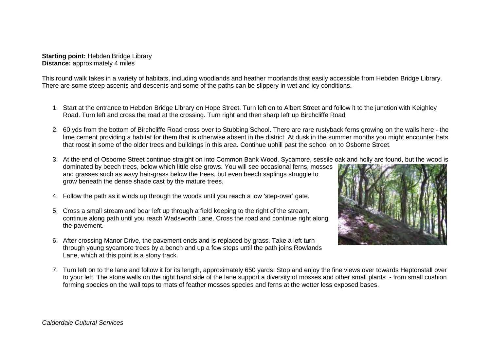**Starting point:** Hebden Bridge Library **Distance:** approximately 4 miles

This round walk takes in a variety of habitats, including woodlands and heather moorlands that easily accessible from Hebden Bridge Library. There are some steep ascents and descents and some of the paths can be slippery in wet and icy conditions.

- 1. Start at the entrance to Hebden Bridge Library on Hope Street. Turn left on to Albert Street and follow it to the junction with Keighley Road. Turn left and cross the road at the crossing. Turn right and then sharp left up Birchcliffe Road
- 2. 60 yds from the bottom of Birchcliffe Road cross over to Stubbing School. There are rare rustyback ferns growing on the walls here the lime cement providing a habitat for them that is otherwise absent in the district. At dusk in the summer months you might encounter bats that roost in some of the older trees and buildings in this area. Continue uphill past the school on to Osborne Street.
- 3. At the end of Osborne Street continue straight on into Common Bank Wood. Sycamore, sessile oak and holly are found, but the wood is

dominated by beech trees, below which little else grows. You will see occasional ferns, mosses and grasses such as wavy hair-grass below the trees, but even beech saplings struggle to grow beneath the dense shade cast by the mature trees.

- 4. Follow the path as it winds up through the woods until you reach a low 'step-over' gate.
- 5. Cross a small stream and bear left up through a field keeping to the right of the stream, continue along path until you reach Wadsworth Lane. Cross the road and continue right along the pavement.
- 6. After crossing Manor Drive, the pavement ends and is replaced by grass. Take a left turn through young sycamore trees by a bench and up a few steps until the path joins Rowlands Lane, which at this point is a stony track.



7. Turn left on to the lane and follow it for its length, approximately 650 yards. Stop and enjoy the fine views over towards Heptonstall over to your left. The stone walls on the right hand side of the lane support a diversity of mosses and other small plants - from small cushion forming species on the wall tops to mats of feather mosses species and ferns at the wetter less exposed bases.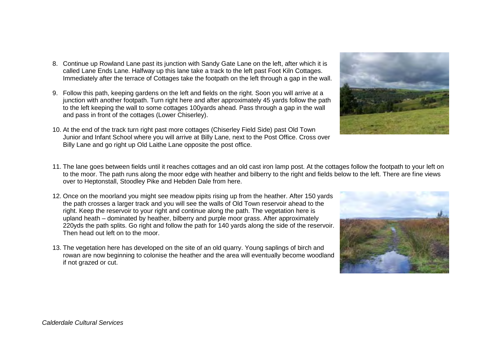- 8. Continue up Rowland Lane past its junction with Sandy Gate Lane on the left, after which it is called Lane Ends Lane. Halfway up this lane take a track to the left past Foot Kiln Cottages. Immediately after the terrace of Cottages take the footpath on the left through a gap in the wall.
- 9. Follow this path, keeping gardens on the left and fields on the right. Soon you will arrive at a junction with another footpath. Turn right here and after approximately 45 yards follow the path to the left keeping the wall to some cottages 100yards ahead. Pass through a gap in the wall and pass in front of the cottages (Lower Chiserley).
- 10. At the end of the track turn right past more cottages (Chiserley Field Side) past Old Town Junior and Infant School where you will arrive at Billy Lane, next to the Post Office. Cross over Billy Lane and go right up Old Laithe Lane opposite the post office.



- 11. The lane goes between fields until it reaches cottages and an old cast iron lamp post. At the cottages follow the footpath to your left on to the moor. The path runs along the moor edge with heather and bilberry to the right and fields below to the left. There are fine views over to Heptonstall, Stoodley Pike and Hebden Dale from here.
- 12. Once on the moorland you might see meadow pipits rising up from the heather. After 150 yards the path crosses a larger track and you will see the walls of Old Town reservoir ahead to the right. Keep the reservoir to your right and continue along the path. The vegetation here is upland heath – dominated by heather, bilberry and purple moor grass. After approximately 220yds the path splits. Go right and follow the path for 140 yards along the side of the reservoir. Then head out left on to the moor.
- 13. The vegetation here has developed on the site of an old quarry. Young saplings of birch and rowan are now beginning to colonise the heather and the area will eventually become woodland if not grazed or cut.

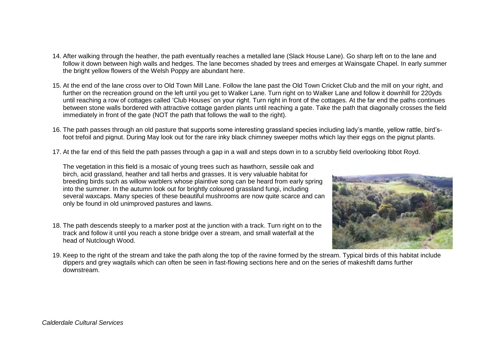- 14. After walking through the heather, the path eventually reaches a metalled lane (Slack House Lane). Go sharp left on to the lane and follow it down between high walls and hedges. The lane becomes shaded by trees and emerges at Wainsgate Chapel. In early summer the bright yellow flowers of the Welsh Poppy are abundant here.
- 15. At the end of the lane cross over to Old Town Mill Lane. Follow the lane past the Old Town Cricket Club and the mill on your right, and further on the recreation ground on the left until you get to Walker Lane. Turn right on to Walker Lane and follow it downhill for 220yds until reaching a row of cottages called 'Club Houses' on your right. Turn right in front of the cottages. At the far end the paths continues between stone walls bordered with attractive cottage garden plants until reaching a gate. Take the path that diagonally crosses the field immediately in front of the gate (NOT the path that follows the wall to the right).
- 16. The path passes through an old pasture that supports some interesting grassland species including lady's mantle, yellow rattle, bird'sfoot trefoil and pignut. During May look out for the rare inky black chimney sweeper moths which lay their eggs on the pignut plants.
- 17. At the far end of this field the path passes through a gap in a wall and steps down in to a scrubby field overlooking Ibbot Royd.

The vegetation in this field is a mosaic of young trees such as hawthorn, sessile oak and birch, acid grassland, heather and tall herbs and grasses. It is very valuable habitat for breeding birds such as willow warblers whose plaintive song can be heard from early spring into the summer. In the autumn look out for brightly coloured grassland fungi, including several waxcaps. Many species of these beautiful mushrooms are now quite scarce and can only be found in old unimproved pastures and lawns.

18. The path descends steeply to a marker post at the junction with a track. Turn right on to the track and follow it until you reach a stone bridge over a stream, and small waterfall at the head of Nutclough Wood.



19. Keep to the right of the stream and take the path along the top of the ravine formed by the stream. Typical birds of this habitat include dippers and grey wagtails which can often be seen in fast-flowing sections here and on the series of makeshift dams further downstream.